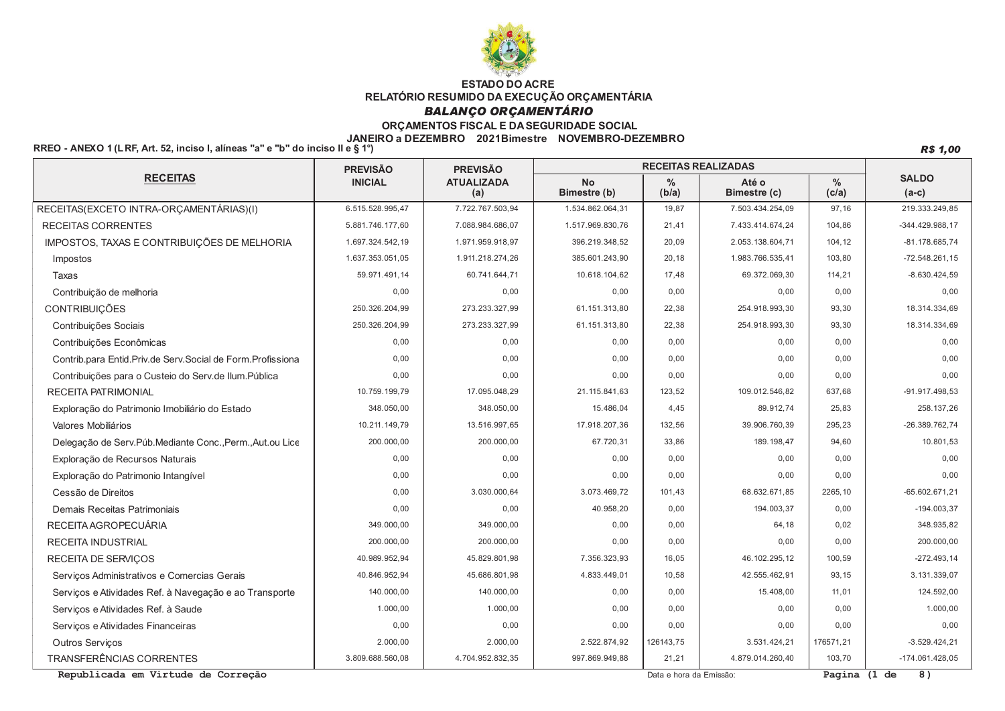

## **BALANÇO ORÇAMENTÁRIO**

## ORÇAMENTOS FISCAL E DA SEGURIDADE SOCIAL

#### JANEIRO a DEZEMBRO 2021Bimestre NOVEMBRO-DEZEMBRO

RREO - ANEXO 1 (LRF, Art. 52, inciso I, alíneas "a" e "b" do inciso II e § 1°)

**R\$ 1,00** 

|                                                             | <b>PREVISÃO</b>  | <b>PREVISÃO</b>          | <b>RECEITAS REALIZADAS</b> |                        |                       |                        |                         |
|-------------------------------------------------------------|------------------|--------------------------|----------------------------|------------------------|-----------------------|------------------------|-------------------------|
| <b>RECEITAS</b>                                             | <b>INICIAL</b>   | <b>ATUALIZADA</b><br>(a) | <b>No</b><br>Bimestre (b)  | $\frac{0}{0}$<br>(b/a) | Até o<br>Bimestre (c) | $\frac{0}{0}$<br>(c/a) | <b>SALDO</b><br>$(a-c)$ |
| RECEITAS(EXCETO INTRA-ORÇAMENTÁRIAS)(I)                     | 6.515.528.995,47 | 7.722.767.503,94         | 1.534.862.064,31           | 19,87                  | 7.503.434.254,09      | 97,16                  | 219.333.249,85          |
| <b>RECEITAS CORRENTES</b>                                   | 5.881.746.177,60 | 7.088.984.686,07         | 1.517.969.830,76           | 21,41                  | 7.433.414.674,24      | 104,86                 | $-344.429.988.17$       |
| IMPOSTOS, TAXAS E CONTRIBUIÇÕES DE MELHORIA                 | 1.697.324.542,19 | 1.971.959.918,97         | 396.219.348,52             | 20,09                  | 2.053.138.604,71      | 104,12                 | $-81.178.685,74$        |
| Impostos                                                    | 1.637.353.051,05 | 1.911.218.274,26         | 385.601.243,90             | 20,18                  | 1.983.766.535,41      | 103,80                 | $-72.548.261,15$        |
| Taxas                                                       | 59.971.491.14    | 60.741.644,71            | 10.618.104,62              | 17.48                  | 69.372.069.30         | 114,21                 | $-8.630.424.59$         |
| Contribuição de melhoria                                    | 0,00             | 0,00                     | 0,00                       | 0,00                   | 0.00                  | 0,00                   | 0.00                    |
| <b>CONTRIBUIÇÕES</b>                                        | 250.326.204,99   | 273.233.327,99           | 61.151.313,80              | 22,38                  | 254.918.993.30        | 93,30                  | 18.314.334,69           |
| Contribuições Sociais                                       | 250.326.204,99   | 273.233.327,99           | 61.151.313,80              | 22,38                  | 254.918.993,30        | 93,30                  | 18.314.334,69           |
| Contribuições Econômicas                                    | 0,00             | 0,00                     | 0,00                       | 0.00                   | 0,00                  | 0,00                   | 0.00                    |
| Contrib para Entid Priv de Serv Social de Form Profissiona  | 0.00             | 0.00                     | 0.00                       | 0.00                   | 0.00                  | 0,00                   | 0.00                    |
| Contribuições para o Custeio do Serv.de Ilum.Pública        | 0.00             | 0.00                     | 0.00                       | 0,00                   | 0.00                  | 0,00                   | 0.00                    |
| <b>RECEITA PATRIMONIAL</b>                                  | 10.759.199.79    | 17.095.048.29            | 21.115.841.63              | 123.52                 | 109.012.546.82        | 637.68                 | -91.917.498.53          |
| Exploração do Patrimonio Imobiliário do Estado              | 348.050,00       | 348.050,00               | 15.486,04                  | 4,45                   | 89.912,74             | 25,83                  | 258.137,26              |
| Valores Mobiliários                                         | 10.211.149,79    | 13.516.997,65            | 17.918.207,36              | 132,56                 | 39.906.760,39         | 295,23                 | -26.389.762,74          |
| Delegação de Serv. Púb. Mediante Conc., Perm., Aut. ou Lice | 200.000,00       | 200.000,00               | 67.720,31                  | 33,86                  | 189.198,47            | 94,60                  | 10.801,53               |
| Exploração de Recursos Naturais                             | 0,00             | 0.00                     | 0,00                       | 0,00                   | 0.00                  | 0,00                   | 0.00                    |
| Exploração do Patrimonio Intangível                         | 0,00             | 0,00                     | 0,00                       | 0,00                   | 0,00                  | 0,00                   | 0,00                    |
| Cessão de Direitos                                          | 0,00             | 3.030.000,64             | 3.073.469,72               | 101,43                 | 68.632.671,85         | 2265,10                | $-65.602.671,21$        |
| Demais Receitas Patrimoniais                                | 0,00             | 0,00                     | 40.958,20                  | 0,00                   | 194.003,37            | 0,00                   | $-194.003,37$           |
| RECEITA AGROPECUÁRIA                                        | 349.000.00       | 349.000,00               | 0.00                       | 0,00                   | 64.18                 | 0,02                   | 348.935,82              |
| RECEITA INDUSTRIAL                                          | 200.000.00       | 200.000.00               | 0,00                       | 0,00                   | 0.00                  | 0,00                   | 200.000.00              |
| <b>RECEITA DE SERVICOS</b>                                  | 40.989.952.94    | 45.829.801,98            | 7.356.323,93               | 16,05                  | 46.102.295,12         | 100,59                 | $-272.493,14$           |
| Serviços Administrativos e Comercias Gerais                 | 40.846.952,94    | 45.686.801.98            | 4.833.449,01               | 10.58                  | 42.555.462.91         | 93,15                  | 3.131.339,07            |
| Serviços e Atividades Ref. à Navegação e ao Transporte      | 140.000,00       | 140.000.00               | 0.00                       | 0.00                   | 15,408.00             | 11,01                  | 124.592,00              |
| Serviços e Atividades Ref. à Saude                          | 1.000.00         | 1.000.00                 | 0.00                       | 0.00                   | 0.00                  | 0,00                   | 1.000.00                |
| Servicos e Atividades Financeiras                           | 0,00             | 0.00                     | 0,00                       | 0.00                   | 0.00                  | 0,00                   | 0.00                    |
| <b>Outros Servicos</b>                                      | 2.000,00         | 2.000,00                 | 2.522.874,92               | 126143,75              | 3.531.424,21          | 176571,21              | $-3.529.424.21$         |
| TRANSFERÊNCIAS CORRENTES                                    | 3.809.688.560,08 | 4.704.952.832,35         | 997.869.949.88             | 21,21                  | 4.879.014.260,40      | 103,70                 | $-174.061.428.05$       |

Republicada em Virtude de Correção

Data e hora da Emissão:

Pagina (1 de 8)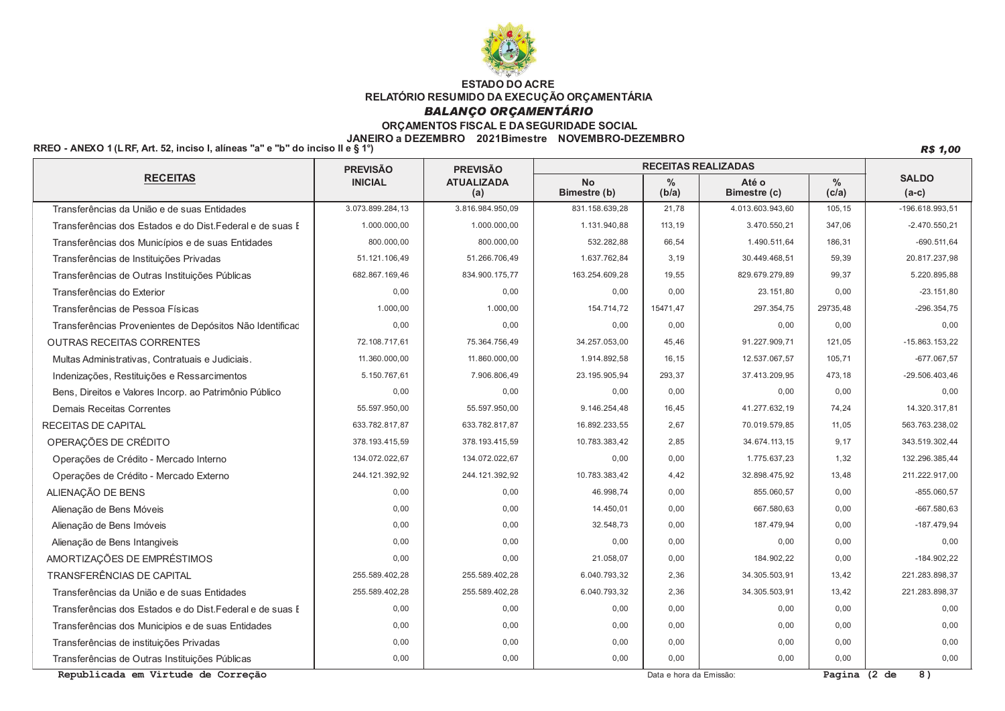

## **BALANÇO ORÇAMENTÁRIO**

## ORÇAMENTOS FISCAL E DA SEGURIDADE SOCIAL

#### JANEIRO a DEZEMBRO 2021Bimestre NOVEMBRO-DEZEMBRO

RREO - ANEXO 1 (LRF, Art. 52, inciso I, alíneas "a" e "b" do inciso II e § 1°)

**R\$ 1,00** 

|                                                           | <b>PREVISÃO</b>  | <b>PREVISÃO</b>          | <b>RECEITAS REALIZADAS</b> |               |                       |                        |                         |
|-----------------------------------------------------------|------------------|--------------------------|----------------------------|---------------|-----------------------|------------------------|-------------------------|
| <b>RECEITAS</b>                                           | <b>INICIAL</b>   | <b>ATUALIZADA</b><br>(a) | <b>No</b><br>Bimestre (b)  | $\%$<br>(b/a) | Até o<br>Bimestre (c) | $\frac{0}{0}$<br>(c/a) | <b>SALDO</b><br>$(a-c)$ |
| Transferências da União e de suas Entidades               | 3.073.899.284,13 | 3.816.984.950,09         | 831.158.639,28             | 21,78         | 4.013.603.943,60      | 105,15                 | -196.618.993,51         |
| Transferências dos Estados e do Dist. Federal e de suas E | 1.000.000,00     | 1.000.000,00             | 1.131.940,88               | 113,19        | 3.470.550,21          | 347,06                 | $-2.470.550.21$         |
| Transferências dos Municípios e de suas Entidades         | 800.000,00       | 800.000,00               | 532.282,88                 | 66,54         | 1.490.511,64          | 186,31                 | $-690.511,64$           |
| Transferências de Instituições Privadas                   | 51.121.106,49    | 51.266.706,49            | 1.637.762,84               | 3,19          | 30.449.468,51         | 59,39                  | 20.817.237,98           |
| Transferências de Outras Instituições Públicas            | 682.867.169.46   | 834.900.175.77           | 163.254.609.28             | 19,55         | 829.679.279.89        | 99,37                  | 5.220.895.88            |
| Transferências do Exterior                                | 0.00             | 0.00                     | 0.00                       | 0.00          | 23.151.80             | 0,00                   | $-23.151.80$            |
| Transferências de Pessoa Físicas                          | 1.000.00         | 1.000,00                 | 154.714,72                 | 15471,47      | 297.354,75            | 29735,48               | $-296.354.75$           |
| Transferências Provenientes de Depósitos Não Identificad  | 0,00             | 0,00                     | 0,00                       | 0,00          | 0.00                  | 0,00                   | 0,00                    |
| OUTRAS RECEITAS CORRENTES                                 | 72.108.717,61    | 75.364.756,49            | 34.257.053,00              | 45,46         | 91.227.909,71         | 121,05                 | $-15.863.153.22$        |
| Multas Administrativas, Contratuais e Judiciais.          | 11.360.000,00    | 11.860.000,00            | 1.914.892,58               | 16,15         | 12.537.067,57         | 105,71                 | $-677.067,57$           |
| Indenizações, Restituições e Ressarcimentos               | 5.150.767,61     | 7.906.806,49             | 23.195.905,94              | 293,37        | 37.413.209,95         | 473,18                 | $-29.506.403,46$        |
| Bens, Direitos e Valores Incorp. ao Patrimônio Público    | 0,00             | 0,00                     | 0,00                       | 0,00          | 0.00                  | 0,00                   | 0.00                    |
| <b>Demais Receitas Correntes</b>                          | 55.597.950,00    | 55.597.950,00            | 9.146.254,48               | 16,45         | 41.277.632,19         | 74,24                  | 14.320.317,81           |
| <b>RECEITAS DE CAPITAL</b>                                | 633.782.817,87   | 633.782.817,87           | 16.892.233,55              | 2,67          | 70.019.579.85         | 11,05                  | 563.763.238.02          |
| OPERAÇÕES DE CRÉDITO                                      | 378.193.415.59   | 378.193.415.59           | 10.783.383.42              | 2.85          | 34.674.113.15         | 9,17                   | 343.519.302.44          |
| Operações de Crédito - Mercado Interno                    | 134.072.022,67   | 134.072.022,67           | 0.00                       | 0,00          | 1.775.637,23          | 1,32                   | 132.296.385,44          |
| Operações de Crédito - Mercado Externo                    | 244.121.392,92   | 244.121.392,92           | 10.783.383,42              | 4,42          | 32.898.475,92         | 13,48                  | 211.222.917,00          |
| ALIENAÇÃO DE BENS                                         | 0,00             | 0,00                     | 46.998,74                  | 0,00          | 855.060,57            | 0,00                   | $-855.060,57$           |
| Alienação de Bens Móveis                                  | 0,00             | 0,00                     | 14.450,01                  | 0,00          | 667.580,63            | 0,00                   | $-667.580.63$           |
| Alienação de Bens Imóveis                                 | 0,00             | 0,00                     | 32.548,73                  | 0,00          | 187.479,94            | 0,00                   | $-187.479.94$           |
| Alienação de Bens Intangiveis                             | 0,00             | 0,00                     | 0,00                       | 0,00          | 0.00                  | 0,00                   | 0,00                    |
| AMORTIZAÇÕES DE EMPRÉSTIMOS                               | 0,00             | 0,00                     | 21.058,07                  | 0,00          | 184.902,22            | 0,00                   | $-184.902,22$           |
| TRANSFERÊNCIAS DE CAPITAL                                 | 255.589.402,28   | 255.589.402,28           | 6.040.793,32               | 2,36          | 34.305.503,91         | 13,42                  | 221.283.898,37          |
| Transferências da União e de suas Entidades               | 255.589.402,28   | 255.589.402.28           | 6.040.793,32               | 2.36          | 34.305.503,91         | 13,42                  | 221.283.898,37          |
| Transferências dos Estados e do Dist. Federal e de suas E | 0.00             | 0,00                     | 0,00                       | 0.00          | 0.00                  | 0,00                   | 0.00                    |
| Transferências dos Municipios e de suas Entidades         | 0.00             | 0,00                     | 0,00                       | 0.00          | 0,00                  | 0,00                   | 0,00                    |
| Transferências de instituições Privadas                   | 0,00             | 0,00                     | 0,00                       | 0,00          | 0,00                  | 0,00                   | 0,00                    |
| Transferências de Outras Instituições Públicas            | 0,00             | 0,00                     | 0,00                       | 0.00          | 0,00                  | 0,00                   | 0,00                    |

Republicada em Virtude de Correção

Data e hora da Emissão:

Pagina (2 de 8)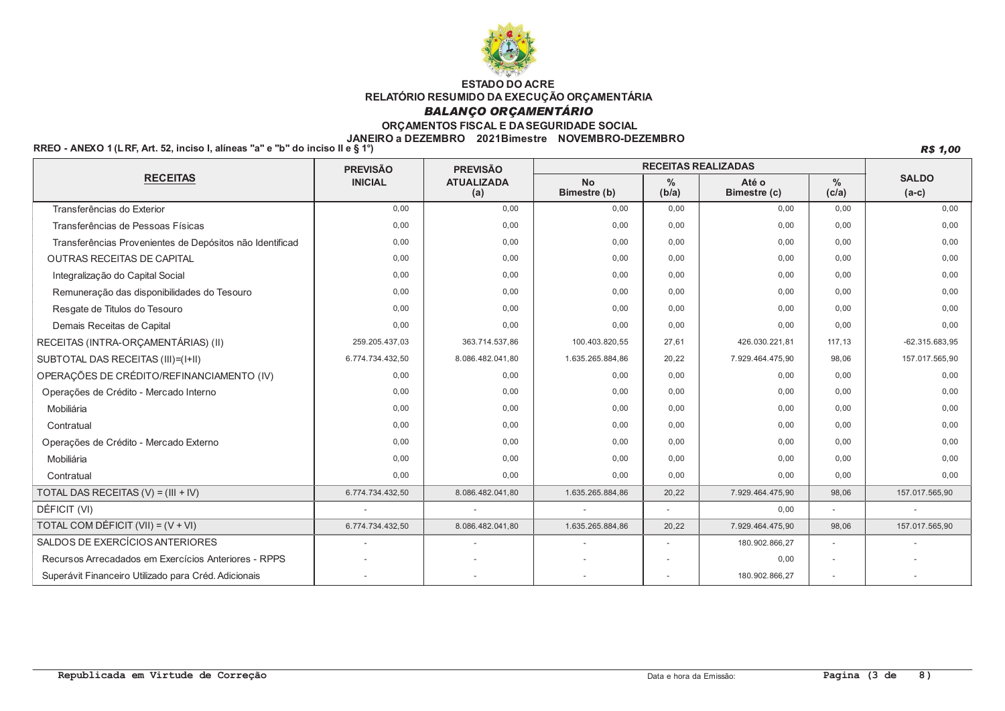

## **BALANÇO ORÇAMENTÁRIO**

### ORÇAMENTOS FISCAL E DA SEGURIDADE SOCIAL

#### JANEIRO a DEZEMBRO 2021Bimestre NOVEMBRO-DEZEMBRO

RREO - ANEXO 1 (LRF, Art. 52, inciso I, alíneas "a" e "b" do inciso II e § 1°)

**R\$ 1,00** 

|                                                          | <b>PREVISÃO</b>          | <b>PREVISÃO</b>          | <b>RECEITAS REALIZADAS</b> |            |                       |               |                         |
|----------------------------------------------------------|--------------------------|--------------------------|----------------------------|------------|-----------------------|---------------|-------------------------|
| <b>RECEITAS</b>                                          | <b>INICIAL</b>           | <b>ATUALIZADA</b><br>(a) | <b>No</b><br>Bimestre (b)  | %<br>(b/a) | Até o<br>Bimestre (c) | $\%$<br>(c/a) | <b>SALDO</b><br>$(a-c)$ |
| Transferências do Exterior                               | 0.00                     | 0,00                     | 0,00                       | 0,00       | 0,00                  | 0,00          | 0,00                    |
| Transferências de Pessoas Físicas                        | 0,00                     | 0,00                     | 0,00                       | 0.00       | 0,00                  | 0,00          | 0,00                    |
| Transferências Provenientes de Depósitos não Identificad | 0.00                     | 0,00                     | 0,00                       | 0.00       | 0,00                  | 0,00          | 0,00                    |
| <b>OUTRAS RECEITAS DE CAPITAL</b>                        | 0.00                     | 0,00                     | 0,00                       | 0.00       | 0,00                  | 0,00          | 0,00                    |
| Integralização do Capital Social                         | 0,00                     | 0,00                     | 0,00                       | 0,00       | 0,00                  | 0,00          | 0,00                    |
| Remuneração das disponibilidades do Tesouro              | 0,00                     | 0,00                     | 0,00                       | 0,00       | 0,00                  | 0,00          | 0,00                    |
| Resgate de Titulos do Tesouro                            | 0,00                     | 0,00                     | 0,00                       | 0,00       | 0,00                  | 0,00          | 0,00                    |
| Demais Receitas de Capital                               | 0,00                     | 0,00                     | 0,00                       | 0,00       | 0,00                  | 0,00          | 0,00                    |
| RECEITAS (INTRA-ORÇAMENTÁRIAS) (II)                      | 259.205.437,03           | 363.714.537,86           | 100.403.820,55             | 27,61      | 426.030.221,81        | 117,13        | $-62.315.683,95$        |
| SUBTOTAL DAS RECEITAS (III)=(I+II)                       | 6.774.734.432,50         | 8.086.482.041,80         | 1.635.265.884,86           | 20,22      | 7.929.464.475,90      | 98,06         | 157.017.565,90          |
| OPERAÇÕES DE CRÉDITO/REFINANCIAMENTO (IV)                | 0,00                     | 0,00                     | 0,00                       | 0,00       | 0,00                  | 0,00          | 0,00                    |
| Operações de Crédito - Mercado Interno                   | 0,00                     | 0,00                     | 0,00                       | 0.00       | 0,00                  | 0,00          | 0,00                    |
| Mobiliária                                               | 0.00                     | 0,00                     | 0,00                       | 0.00       | 0,00                  | 0,00          | 0,00                    |
| Contratual                                               | 0.00                     | 0,00                     | 0.00                       | 0.00       | 0,00                  | 0,00          | 0,00                    |
| Operações de Crédito - Mercado Externo                   | 0.00                     | 0,00                     | 0,00                       | 0.00       | 0,00                  | 0,00          | 0,00                    |
| Mobiliária                                               | 0.00                     | 0.00                     | 0.00                       | 0.00       | 0.00                  | 0.00          | 0.00                    |
| Contratual                                               | 0,00                     | 0,00                     | 0,00                       | 0,00       | 0,00                  | 0,00          | 0,00                    |
| TOTAL DAS RECEITAS $(V) = (III + IV)$                    | 6.774.734.432,50         | 8.086.482.041,80         | 1.635.265.884,86           | 20,22      | 7.929.464.475,90      | 98,06         | 157.017.565,90          |
| DÉFICIT (VI)                                             |                          |                          |                            |            | 0,00                  |               |                         |
| TOTAL COM DÉFICIT (VII) = $(V + VI)$                     | 6.774.734.432.50         | 8.086.482.041,80         | 1.635.265.884.86           | 20.22      | 7.929.464.475,90      | 98,06         | 157.017.565.90          |
| SALDOS DE EXERCÍCIOS ANTERIORES                          | $\overline{\phantom{a}}$ |                          |                            |            | 180.902.866,27        |               |                         |
| Recursos Arrecadados em Exercícios Anteriores - RPPS     |                          |                          |                            |            | 0,00                  |               |                         |
| Superávit Financeiro Utilizado para Créd. Adicionais     | $\overline{\phantom{a}}$ |                          |                            |            | 180.902.866,27        |               |                         |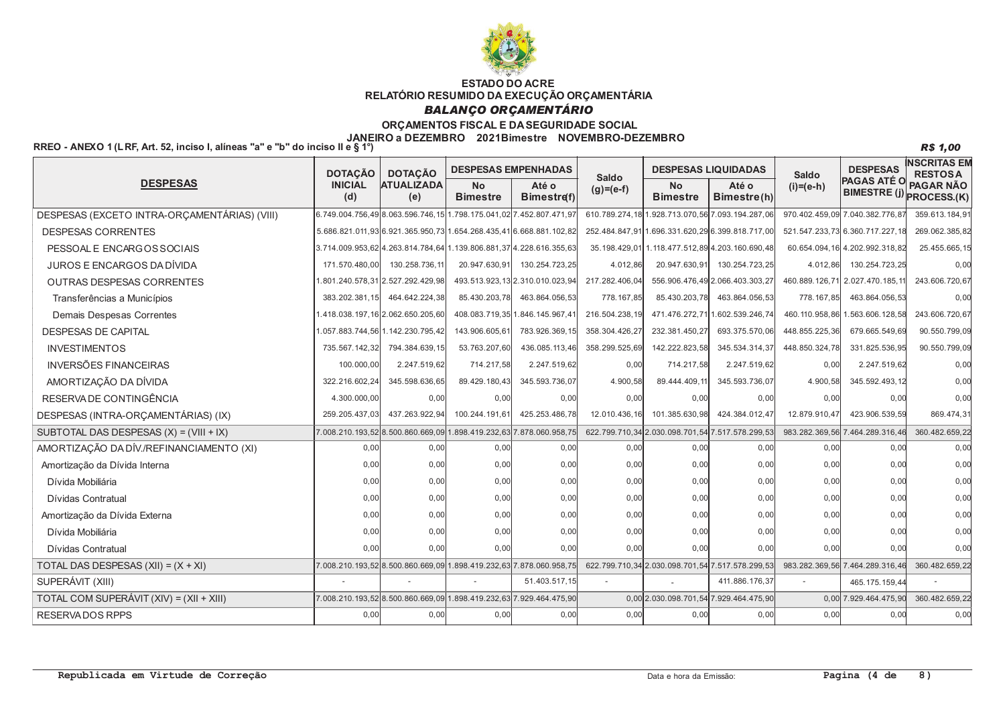

#### **BALANCO OR CAMENTÁRIO**

#### ORCAMENTOS FISCAL E DA SEGURIDADE SOCIAL

#### JANEIRO a DEZEMBRO 2021Bimestre NOVEMBRO-DEZEMBRO

RREO - ANEXO 1 (LRF. Art. 52, inciso L alíneas "a" e "b" do inciso II e  $\overline{8}$  1)

**INSCRITAS EM DESPESAS LIQUIDADAS DESPESAS DESPESAS EMPENHADAS DOTACÃO DOTACÃO RESTOSA** Saldo Saldo **PAGAS ATÉ O DESPESAS ATUALIŽADA INICIAL**  $\overline{N}$ **PAGAR NÃO** Até o  $N<sub>0</sub>$ Até o  $(i)=(e-h)$  $(g)= (e-f)$ BIMESTRE (j) PROCESS.(K)  $(d)$  $(e)$ **Bimestre Bimestreft Bimestre** Bimestre(h) 6.749.004.756.49 8.063.596.746.15 1.798.175.041.02 7.452.807.471.97 610.789.274.18 1.928.713.070.56 7.093.194.287.06 970.402.459.09 7.040.382.776.87 359.613.184.91 DESPESAS (EXCETO INTRA-ORÇAMENTÁRIAS) (VIII) **DESPESAS CORRENTES** 5.686.821.011.93 6.921.365.950.73 1.654.268.435.41 6.668.881.102.82 .696.331.620.29 6.399.818.717.0 252.484.847.91 521.547.233.73 6.360.717.227.18 269.062.385.82 3.714.009.953.62 4.263.814.784.64 1.139.806.881.37 4.228.616.355.63 35.198.429.01 1.118.477.512.89 4.203.160.690.48 60.654.094.16 4.202.992.318.82 25 455 665 15 PESSOAL E ENCARGOS SOCIAIS JUROS E ENCARGOS DA DÍVIDA 171.570.480.00 130.258.736.11 20.947.630.91 130.254.723.25 20.947.630.91 130.254.723.25 130.254.723.25 4.012.86 4.012.86  $0.00$ 801 240 578 31 2.527 292 429 98 493.513.923.13 2.310.010.023.94 217.282.406.04 556.906.476.49 2.066.403.303.27 460.889.126.71 2.027.470.185.11 243.606.720.67 OUTRAS DESPESAS CORRENTES Transferências a Municípios 383.202.381.15 464.642.224.38 85.430.203.78 463.864.056.53 778.167.85 85.430.203.78 463.864.056.53 778.167,85 463.864.056.53  $0.00$ Demais Despesas Correntes 1.418.038.197.16 2.062.650.205.60 408.083.719.35 1.846.145.967.41 216.504.238.19 471.476.272.711.602.539.246.74 460.110.958.86 1.563.606.128.58 243.606.720.67 232 381.450.27 DESPESAS DE CAPITAL 1.057.883.744.56 1.142.230.795.42 143.906.605.61 783.926.369.15 358.304.426.27 693.375.570.06 448.855.225.36 679.665.549.69 90.550.799.09 **INVESTIMENTOS** 735.567.142.32 794.384.639.15 53.763.207.60 436.085.113.46 358.299.525.69 142.222.823.58 345.534.314.37 448.850.324.78 331.825.536.95 90.550.799.09 **INVERSÕES FINANCEIRAS** 100,000.00 2.247.519.62 714.217.58 2.247.519.62  $0.00$ 714.217.58 2.247.519.62  $0.00$ 2.247.519.62  $0.00$ AMORTIZAÇÃO DA DÍVIDA 322.216.602.24 345.598.636.65 89.429.180.43 345.593.736.07 4.900.58 89.444.409.11 345.593.736.07 4.900.58 345.592.493.12  $0,00$ RESERVA DE CONTINGÊNCIA 4.300.000.00  $0.00$  $0.00$  $0.00$  $0.00$  $0.00$  $0.00$  $0.00$  $0.00$  $0.00$ DESPESAS (INTRA-ORCAMENTÁRIAS) (IX) 259.205.437.03 437.263.922.94 100.244.191.61 425.253.486.78 12.010.436.16 101.385.630.98 424.384.012.47 12.879.910.47 423.906.539.59 869.474.31 SUBTOTAL DAS DESPESAS  $(X) = (VIII + IX)$ 898 419 232 63 360 482 659 22 7 008 210 193 52 8.500.860.669.09 878 060 958 75 622.799.710.34 2.030.098.701.54 7.517.578.299.53 983.282.369.56 7.464.289.316.46 AMORTIZAÇÃO DA DÍV./REFINANCIAMENTO (XI)  $0.00$  $0.00$  $0.00$  $0.00$  $0.00$  $0.00$  $0.00$  $0.00$  $0.00$  $0.00$  $0.00$  $0.00$  $0.00$  $0.00$  $0.00$  $0.00$  $0.00$  $0.00$  $0.00$  $0.00$ Amortização da Dívida Interna Dívida Mobiliária  $0.00$  $0.00$  $0.00$  $0.00$  $0.00$  $0.00$  $0.00$  $0.00$  $0.00$  $0.00$ Dívidas Contratual  $0<sub>0</sub>$  $0.00$  $0<sub>0</sub>$  $0.00$  $0.00$  $0.00$  $0.00$  $0.00$  $0.00$  $0,00$  $0.00$  $0.00$  $0.00$  $0.00$  $0.00$  $0.00$  $0.00$  $0.00$ Amortização da Dívida Externa  $0.00$  $0.00$ Dívida Mobiliária  $0.00$  $0.00$  $0<sub>0</sub>$  $0.00$  $0.00$  $0.00$  $0.00$  $0.00$  $0.00$  $0,00$ Dívidas Contratual  $0.00$  $0.00$  $0.00$  $0.00$  $0.00$  $0.00$  $0.00$  $0.00$  $0.00$  $0.00$ 7.878.060.958,75 TOTAL DAS DESPESAS  $(XII) = (X + XI)$ 7.008.210.193.52 8.500.860.669.09 1.898.419.232.63 622.799.710.34 2.030.098.701.54 7.517.578.299.53 983.282.369.56 7.464.289.316.46 360.482.659.22 SUPERÁVIT (XIII) 51.403.517,15 411 886 176 3 465.175.159.4 TOTAL COM SUPERÁVIT (XIV) = (XII + XIII) 7 008 210 193 52 8 500 860 669 09 1898 419 232 63 929 464 475 90 0.00 2.030.098.701.54 7.929.464.475.90 0.00 7.929 464 475 90 360.482.659.22  $0.00$  $0.00$  $0.00$  $0.00$  $0.00$  $0.00$  $0.00$  $0.00$  $0.00$  $0,00$ RESERVADOS RPPS

 $\overline{8}$ 

**R\$ 1,00** 

Data e hora da Emissão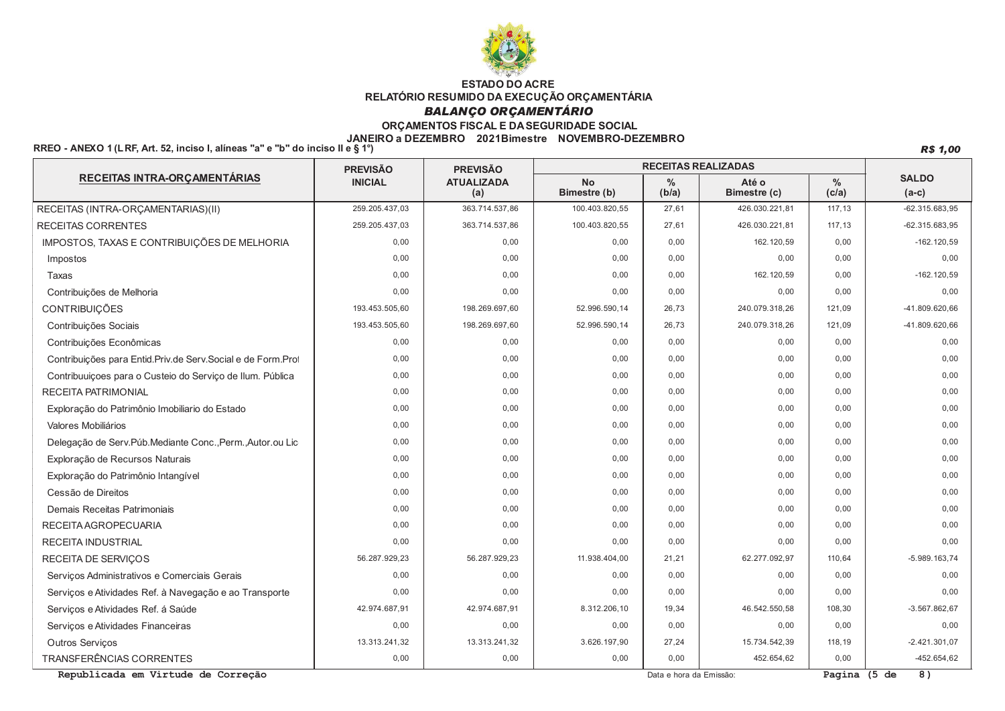

## **BALANÇO ORÇAMENTÁRIO**

### ORÇAMENTOS FISCAL E DA SEGURIDADE SOCIAL

#### JANEIRO a DEZEMBRO 2021Bimestre NOVEMBRO-DEZEMBRO

RREO - ANEXO 1 (LRF, Art. 52, inciso I, alíneas "a" e "b" do inciso II e § 1°)

**R\$ 1,00** 

|                                                              | <b>PREVISÃO</b> | <b>PREVISÃO</b>          | <b>RECEITAS REALIZADAS</b> |                        |                       |                        |                         |
|--------------------------------------------------------------|-----------------|--------------------------|----------------------------|------------------------|-----------------------|------------------------|-------------------------|
| RECEITAS INTRA-ORÇAMENTÁRIAS                                 | <b>INICIAL</b>  | <b>ATUALIZADA</b><br>(a) | <b>No</b><br>Bimestre (b)  | $\frac{0}{0}$<br>(b/a) | Até o<br>Bimestre (c) | $\frac{0}{0}$<br>(c/a) | <b>SALDO</b><br>$(a-c)$ |
| RECEITAS (INTRA-ORÇAMENTARIAS)(II)                           | 259.205.437.03  | 363.714.537,86           | 100.403.820,55             | 27,61                  | 426.030.221,81        | 117,13                 | $-62.315.683.95$        |
| <b>RECEITAS CORRENTES</b>                                    | 259.205.437.03  | 363.714.537.86           | 100.403.820.55             | 27.61                  | 426.030.221.81        | 117,13                 | $-62.315.683.95$        |
| IMPOSTOS, TAXAS E CONTRIBUIÇÕES DE MELHORIA                  | 0.00            | 0,00                     | 0,00                       | 0.00                   | 162.120,59            | 0,00                   | $-162.120,59$           |
| Impostos                                                     | 0.00            | 0.00                     | 0,00                       | 0.00                   | 0.00                  | 0,00                   | 0.00                    |
| Taxas                                                        | 0.00            | 0.00                     | 0.00                       | 0.00                   | 162.120.59            | 0,00                   | $-162.120.59$           |
| Contribuições de Melhoria                                    | 0.00            | 0.00                     | 0,00                       | 0.00                   | 0.00                  | 0,00                   | 0.00                    |
| <b>CONTRIBUIÇÕES</b>                                         | 193.453.505,60  | 198.269.697,60           | 52.996.590,14              | 26.73                  | 240.079.318.26        | 121,09                 | -41.809.620,66          |
| Contribuições Sociais                                        | 193.453.505.60  | 198.269.697.60           | 52.996.590.14              | 26.73                  | 240.079.318.26        | 121,09                 | -41.809.620,66          |
| Contribuições Econômicas                                     | 0.00            | 0.00                     | 0,00                       | 0.00                   | 0.00                  | 0,00                   | 0.00                    |
| Contribuições para Entid.Priv.de Serv.Social e de Form.Prot  | 0.00            | 0,00                     | 0,00                       | 0.00                   | 0.00                  | 0,00                   | 0.00                    |
| Contribuuições para o Custeio do Serviço de Ilum. Pública    | 0.00            | 0,00                     | 0,00                       | 0.00                   | 0,00                  | 0,00                   | 0.00                    |
| <b>RECEITA PATRIMONIAL</b>                                   | 0.00            | 0,00                     | 0,00                       | 0.00                   | 0,00                  | 0,00                   | 0,00                    |
| Exploração do Patrimônio Imobiliario do Estado               | 0.00            | 0,00                     | 0,00                       | 0.00                   | 0,00                  | 0,00                   | 0.00                    |
| Valores Mobiliários                                          | 0.00            | 0,00                     | 0,00                       | 0.00                   | 0,00                  | 0,00                   | 0,00                    |
| Delegação de Serv. Púb. Mediante Conc., Perm., Autor. ou Lic | 0.00            | 0.00                     | 0.00                       | 0.00                   | 0.00                  | 0,00                   | 0.00                    |
| Exploração de Recursos Naturais                              | 0.00            | 0,00                     | 0,00                       | 0.00                   | 0.00                  | 0,00                   | 0,00                    |
| Exploração do Patrimônio Intangível                          | 0,00            | 0,00                     | 0,00                       | 0.00                   | 0,00                  | 0,00                   | 0,00                    |
| Cessão de Direitos                                           | 0.00            | 0,00                     | 0,00                       | 0.00                   | 0,00                  | 0,00                   | 0,00                    |
| Demais Receitas Patrimoniais                                 | 0.00            | 0.00                     | 0.00                       | 0.00                   | 0,00                  | 0.00                   | 0.00                    |
| RECEITA AGROPECUARIA                                         | 0.00            | 0.00                     | 0,00                       | 0.00                   | 0.00                  | 0,00                   | 0.00                    |
| <b>RECEITA INDUSTRIAL</b>                                    | 0.00            | 0.00                     | 0,00                       | 0.00                   | 0.00                  | 0,00                   | 0.00                    |
| <b>RECEITA DE SERVICOS</b>                                   | 56.287.929.23   | 56.287.929.23            | 11.938.404,00              | 21.21                  | 62.277.092,97         | 110,64                 | $-5.989.163,74$         |
| Servicos Administrativos e Comerciais Gerais                 | 0.00            | 0.00                     | 0,00                       | 0.00                   | 0.00                  | 0,00                   | 0.00                    |
| Serviços e Atividades Ref. à Navegação e ao Transporte       | 0.00            | 0,00                     | 0,00                       | 0,00                   | 0.00                  | 0,00                   | 0.00                    |
| Serviços e Atividades Ref. á Saúde                           | 42.974.687,91   | 42.974.687,91            | 8.312.206,10               | 19,34                  | 46.542.550,58         | 108,30                 | $-3.567.862,67$         |
| Serviços e Atividades Financeiras                            | 0,00            | 0,00                     | 0,00                       | 0,00                   | 0,00                  | 0,00                   | 0.00                    |
| <b>Outros Servicos</b>                                       | 13.313.241,32   | 13.313.241,32            | 3.626.197,90               | 27,24                  | 15.734.542,39         | 118,19                 | $-2.421.301.07$         |
| <b>TRANSFERÊNCIAS CORRENTES</b>                              | 0,00            | 0,00                     | 0,00                       | 0,00                   | 452.654,62            | 0,00                   | $-452.654,62$           |

Republicada em Virtude de Correção

Data e hora da Emissão:

Pagina  $(5 de 8)$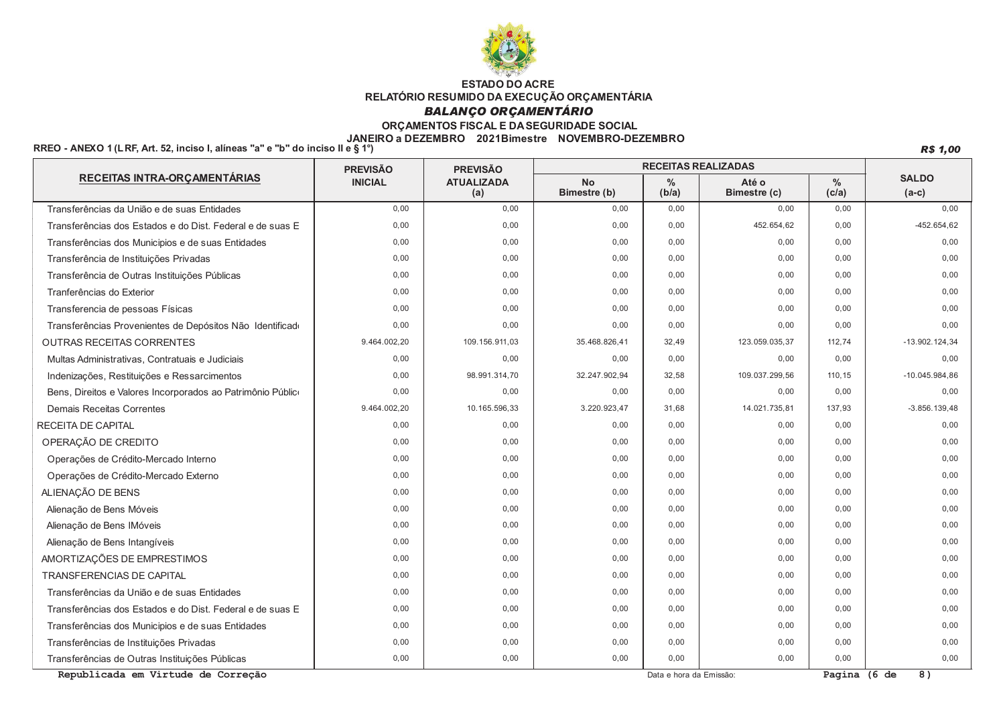

## **BALANÇO ORÇAMENTÁRIO**

### ORÇAMENTOS FISCAL E DA SEGURIDADE SOCIAL

## JANEIRO a DEZEMBRO 2021Bimestre NOVEMBRO-DEZEMBRO<br>RREO - ANEXO 1 (LRF, Art. 52, inciso I, alíneas "a" e "b" do inciso II e § 1°)

**R\$ 1,00** 

|                                                             | <b>PREVISÃO</b> | <b>PREVISÃO</b>          | <b>RECEITAS REALIZADAS</b> |               |                       |               |                         |
|-------------------------------------------------------------|-----------------|--------------------------|----------------------------|---------------|-----------------------|---------------|-------------------------|
| RECEITAS INTRA-ORÇAMENTÁRIAS                                | <b>INICIAL</b>  | <b>ATUALIZADA</b><br>(a) |                            | $\%$<br>(b/a) | Até o<br>Bimestre (c) | $\%$<br>(c/a) | <b>SALDO</b><br>$(a-c)$ |
| Transferências da União e de suas Entidades                 | 0.00            | 0,00                     | 0,00                       | 0,00          | 0.00                  | 0,00          | 0,00                    |
| Transferências dos Estados e do Dist. Federal e de suas E   | 0,00            | 0,00                     | 0,00                       | 0,00          | 452.654,62            | 0,00          | $-452.654, 62$          |
| Transferências dos Municipios e de suas Entidades           | 0,00            | 0,00                     | 0,00                       | 0.00          | 0.00                  | 0,00          | 0,00                    |
| Transferência de Instituições Privadas                      | 0,00            | 0,00                     | 0,00                       | 0,00          | 0,00                  | 0,00          | 0,00                    |
| Transferência de Outras Instituições Públicas               | 0,00            | 0,00                     | 0,00                       | 0,00          | 0,00                  | 0,00          | 0,00                    |
| Tranferências do Exterior                                   | 0.00            | 0,00                     | 0,00                       | 0.00          | 0,00                  | 0,00          | 0.00                    |
| Transferencia de pessoas Físicas                            | 0,00            | 0,00                     | 0,00                       | 0,00          | 0,00                  | 0,00          | 0.00                    |
| Transferências Provenientes de Depósitos Não Identificado   | 0,00            | 0.00                     | 0.00                       | 0.00          | 0.00                  | 0,00          | 0.00                    |
| <b>OUTRAS RECEITAS CORRENTES</b>                            | 9.464.002.20    | 109.156.911.03           | 35.468.826.41              | 32.49         | 123.059.035.37        | 112,74        | $-13.902.124.34$        |
| Multas Administrativas, Contratuais e Judiciais             | 0,00            | 0,00                     | 0,00                       | 0,00          | 0,00                  | 0,00          | 0,00                    |
| Indenizações, Restituições e Ressarcimentos                 | 0,00            | 98.991.314,70            | 32.247.902,94              | 32,58         | 109.037.299,56        | 110,15        | $-10.045.984,86$        |
| Bens, Direitos e Valores Incorporados ao Patrimônio Público | 0,00            | 0,00                     | 0,00                       | 0,00          | 0,00                  | 0,00          | 0.00                    |
| Demais Receitas Correntes                                   | 9.464.002.20    | 10.165.596,33            | 3.220.923,47               | 31.68         | 14.021.735,81         | 137,93        | $-3.856.139.48$         |
| <b>RECEITA DE CAPITAL</b>                                   | 0.00            | 0,00                     | 0,00                       | 0.00          | 0,00                  | 0,00          | 0.00                    |
| OPERAÇÃO DE CREDITO                                         | 0.00            | 0.00                     | 0.00                       | 0.00          | 0.00                  | 0,00          | 0.00                    |
| Operações de Crédito-Mercado Interno                        | 0,00            | 0,00                     | 0,00                       | 0,00          | 0,00                  | 0,00          | 0,00                    |
| Operações de Crédito-Mercado Externo                        | 0,00            | 0,00                     | 0,00                       | 0.00          | 0,00                  | 0,00          | 0,00                    |
| ALIENAÇÃO DE BENS                                           | 0,00            | 0,00                     | 0,00                       | 0.00          | 0,00                  | 0,00          | 0.00                    |
| Alienação de Bens Móveis                                    | 0,00            | 0,00                     | 0,00                       | 0.00          | 0,00                  | 0,00          | 0.00                    |
| Alienação de Bens IMóveis                                   | 0,00            | 0,00                     | 0,00                       | 0.00          | 0,00                  | 0,00          | 0.00                    |
| Alienação de Bens Intangíveis                               | 0,00            | 0,00                     | 0,00                       | 0,00          | 0,00                  | 0,00          | 0,00                    |
| AMORTIZAÇÕES DE EMPRESTIMOS                                 | 0,00            | 0,00                     | 0,00                       | 0.00          | 0,00                  | 0,00          | 0,00                    |
| <b>TRANSFERENCIAS DE CAPITAL</b>                            | 0,00            | 0,00                     | 0,00                       | 0,00          | 0,00                  | 0,00          | 0,00                    |
| Transferências da União e de suas Entidades                 | 0,00            | 0,00                     | 0,00                       | 0.00          | 0,00                  | 0,00          | 0,00                    |
| Transferências dos Estados e do Dist. Federal e de suas E   | 0,00            | 0,00                     | 0,00                       | 0.00          | 0,00                  | 0,00          | 0.00                    |
| Transferências dos Municipios e de suas Entidades           | 0.00            | 0,00                     | 0,00                       | 0.00          | 0,00                  | 0,00          | 0.00                    |
| Transferências de Instituições Privadas                     | 0,00            | 0,00                     | 0,00                       | 0,00          | 0,00                  | 0,00          | 0,00                    |
| Transferências de Outras Instituições Públicas              | 0,00            | 0,00                     | 0,00                       | 0,00          | 0,00                  | 0,00          | 0,00                    |

Republicada em Virtude de Correção

Data e hora da Emissão:

Pagina (6 de 8)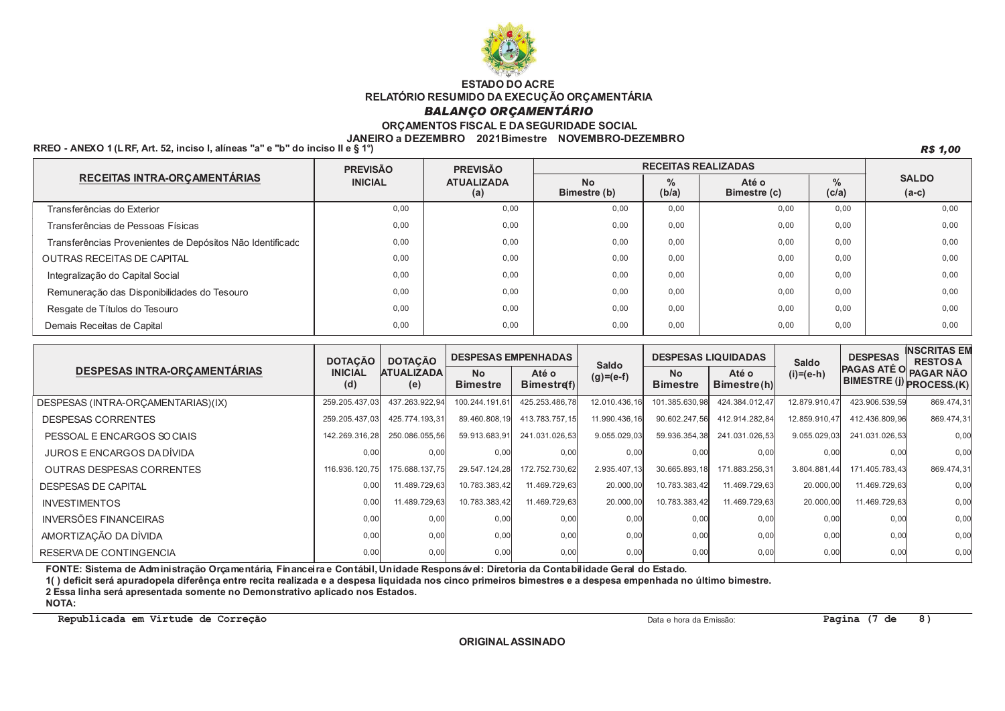

#### **BALANÇO ORÇAMENTÁRIO**

#### ORÇAMENTOS FISCAL E DA SEGURIDADE SOCIAL

#### JANEIRO a DEZEMBRO 2021Bimestre NOVEMBRO-DEZEMBRO

RREO - ANEXO 1 (LRF. Art. 52. inciso I. alíneas "a" e "b" do inciso II e § 19

R\$ 1,00

|                                                           | <b>PREVISÃO</b>                            | <b>PREVISÃO</b> | <b>RECEITAS REALIZADAS</b> |                                                 |      |                        |                         |  |
|-----------------------------------------------------------|--------------------------------------------|-----------------|----------------------------|-------------------------------------------------|------|------------------------|-------------------------|--|
| RECEITAS INTRA-ORÇAMENTÁRIAS                              | <b>INICIAL</b><br><b>ATUALIZADA</b><br>(a) |                 | <b>No</b><br>Bimestre (b)  | $\frac{9}{6}$<br>Até o<br>(b/a)<br>Bimestre (c) |      | $\frac{9}{6}$<br>(c/a) | <b>SALDO</b><br>$(a-c)$ |  |
| Transferências do Exterior                                | 0.00                                       | 0.00            | 0.00                       | 0.00                                            | 0.00 | 0.00                   | 0.00                    |  |
| Transferências de Pessoas Físicas                         | 0.00                                       | 0,00            | 0.00                       | 0.00                                            | 0,00 | 0,00                   | 0.00                    |  |
| Transferências Provenientes de Depósitos Não Identificado | 0.00                                       | 0.00            | 0.00                       | 0.00                                            | 0,00 | 0.00                   | 0.00                    |  |
| <b>OUTRAS RECEITAS DE CAPITAL</b>                         | 0.00                                       | 0,00            | 0.00                       | 0.00                                            | 0,00 | 0,00                   | 0.00                    |  |
| Integralização do Capital Social                          | 0.00                                       | 0.00            | 0.00                       | 0.00                                            | 0,00 | 0.00                   | 0.00                    |  |
| Remuneração das Disponibilidades do Tesouro               | 0.00                                       | 0.00            | 0.00                       | 0.00                                            | 0,00 | 0,00                   | 0.00                    |  |
| Resgate de Títulos do Tesouro                             | 0.00                                       | 0.00            | 0.00                       | 0.00                                            | 0,00 | 0.00                   | 0.00                    |  |
| Demais Receitas de Capital                                | 0,00                                       | 0,00            | 0,00                       | 0,00                                            | 0,00 | 0,00                   | 0,00                    |  |

|                                     | <b>DESPESAS EMPENHADAS</b><br><b>DOTACÃO</b><br><b>DOTAÇÃO</b> |                          | <b>Saldo</b>                 | <b>DESPESAS LIQUIDADAS</b> |               |                              | <b>DESPESAS</b>      | INSCRITAS EM<br><b>RESTOSA</b> |                                                       |                  |
|-------------------------------------|----------------------------------------------------------------|--------------------------|------------------------------|----------------------------|---------------|------------------------------|----------------------|--------------------------------|-------------------------------------------------------|------------------|
| <b>DESPESAS INTRA-ORCAMENTÁRIAS</b> | <b>INICIAL</b><br>(d)                                          | <b>ATUALIZADA</b><br>(e) | <b>No</b><br><b>Bimestre</b> | Até o<br>Bimestref)        | $(g)=(e-f)$   | <b>No</b><br><b>Bimestre</b> | Até o<br>Bimestre(h) | <b>Saldo</b><br>$(i)=(e-h)$    | <b>PAGAS ATE O</b><br><b>BIMESTRE (J)</b> PROCESS.(K) | <b>PAGAR NÃO</b> |
| DESPESAS (INTRA-ORCAMENTARIAS)(IX)  | 259.205.437,03                                                 | 437.263.922.94           | 100.244.191.61               | 425.253.486,78             | 12.010.436,16 | 101.385.630,98               | 424.384.012,47       | 12.879.910,47                  | 423.906.539,59                                        | 869.474,31       |
| <b>DESPESAS CORRENTES</b>           | 259.205.437,03                                                 | 425.774.193,31           | 89.460.808,19                | 413.783.757,15             | 11.990.436,16 | 90.602.247,56                | 412.914.282,84       | 12.859.910,47                  | 412.436.809,96                                        | 869.474,31       |
| PESSOAL E ENCARGOS SO CIAIS         | 142.269.316,28                                                 | 250.086.055,56           | 59.913.683,91                | 241.031.026,53             | 9.055.029.03  | 59.936.354,38                | 241.031.026,53       | 9.055.029.03                   | 241.031.026,53                                        | 0,00             |
| JUROS E ENCARGOS DA DÍVIDA          | 0,00                                                           | 0,00                     | 0,00                         | 0,00                       | 0,00          | 0,00                         | 0,00                 | 0.00                           | 0,00                                                  | 0,00             |
| <b>OUTRAS DESPESAS CORRENTES</b>    | 116.936.120,75                                                 | 175.688.137,75           | 29.547.124,28                | 172.752.730,62             | 2.935.407,13  | 30.665.893,18                | 171.883.256,31       | 3.804.881,44                   | 171.405.783,43                                        | 869.474,31       |
| <b>DESPESAS DE CAPITAL</b>          | 0,00                                                           | 11.489.729.63            | 10.783.383.42                | 11.469.729.63              | 20.000,00     | 10.783.383,42                | 11.469.729.63        | 20.000,00                      | 11.469.729,63                                         | 0,00             |
| <b>INVESTIMENTOS</b>                | 0,00                                                           | 11.489.729,63            | 10.783.383,42                | 11.469.729.63              | 20.000,00     | 10.783.383,42                | 11.469.729.63        | 20.000,00                      | 11.469.729.63                                         | 0,00             |
| <b>INVERSÕES FINANCEIRAS</b>        | 0,00                                                           | 0,00                     | 0,00                         | 0,00                       | 0,00          | 0,00                         | 0,00                 | 0,00                           | 0,00                                                  | 0,00             |
| AMORTIZAÇÃO DA DÍVIDA               | 0,00                                                           | 0,00                     | 0,00                         | 0,00                       | 0,00          | 0,00                         | 0,00                 | 0,00                           | 0,00                                                  | 0,00             |
| RESERVADE CONTINGENCIA              | 0,00                                                           | 0,00                     | 0,00                         | 0,00                       | 0,00          | 0,00                         | 0,00                 | 0,00                           | 0,00                                                  | 0,00             |

FONTE: Sistema de Administração Orçamentária, Financeira e Contábil, Unidade Responsável: Diretoria da Contabilidade Geral do Estado.

1() deficit será apuradopela diferênça entre recita realizada e a despesa liquidada nos cinco primeiros bimestres e a despesa empenhada no último bimestre.

2 Essa linha será apresentada somente no Demonstrativo aplicado nos Estados.

**NOTA:** 

Republicada em Virtude de Correção

Data e hora da Emissão: